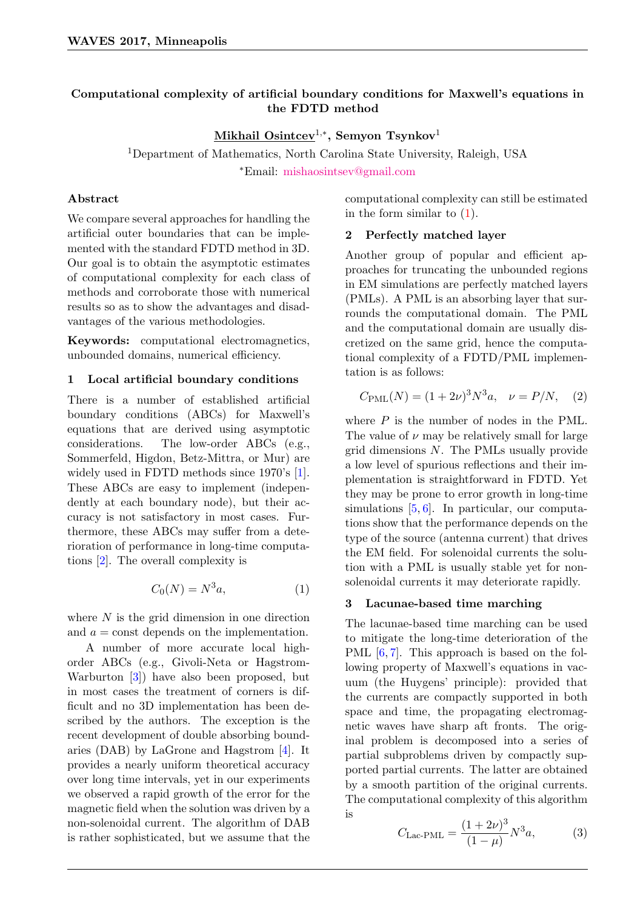# Computational complexity of artificial boundary conditions for Maxwell's equations in the FDTD method

 $\mathbf{Mikhail\ Osintcev}^{1,\ast},$  Semyon Tsynkov $^1$ 

<sup>1</sup>Department of Mathematics, North Carolina State University, Raleigh, USA <sup>∗</sup>Email: [mishaosintsev@gmail.com](mailto:mishaosintsev@gmail.com)

### Abstract

We compare several approaches for handling the artificial outer boundaries that can be implemented with the standard FDTD method in 3D. Our goal is to obtain the asymptotic estimates of computational complexity for each class of methods and corroborate those with numerical results so as to show the advantages and disadvantages of the various methodologies.

Keywords: computational electromagnetics, unbounded domains, numerical efficiency.

### 1 Local artificial boundary conditions

There is a number of established artificial boundary conditions (ABCs) for Maxwell's equations that are derived using asymptotic considerations. The low-order ABCs (e.g., Sommerfeld, Higdon, Betz-Mittra, or Mur) are widely used in FDTD methods since 1970's [\[1\]](#page-1-0). These ABCs are easy to implement (independently at each boundary node), but their accuracy is not satisfactory in most cases. Furthermore, these ABCs may suffer from a deterioration of performance in long-time computations [\[2\]](#page-1-1). The overall complexity is

<span id="page-0-0"></span>
$$
C_0(N) = N^3 a,\t\t(1)
$$

where  $N$  is the grid dimension in one direction and  $a = \text{const}$  depends on the implementation.

A number of more accurate local highorder ABCs (e.g., Givoli-Neta or Hagstrom-Warburton [\[3\]](#page-1-2)) have also been proposed, but in most cases the treatment of corners is difficult and no 3D implementation has been described by the authors. The exception is the recent development of double absorbing boundaries (DAB) by LaGrone and Hagstrom [\[4\]](#page-1-3). It provides a nearly uniform theoretical accuracy over long time intervals, yet in our experiments we observed a rapid growth of the error for the magnetic field when the solution was driven by a non-solenoidal current. The algorithm of DAB is rather sophisticated, but we assume that the

computational complexity can still be estimated in the form similar to [\(1\)](#page-0-0).

## 2 Perfectly matched layer

Another group of popular and efficient approaches for truncating the unbounded regions in EM simulations are perfectly matched layers (PMLs). A PML is an absorbing layer that surrounds the computational domain. The PML and the computational domain are usually discretized on the same grid, hence the computational complexity of a FDTD/PML implementation is as follows:

<span id="page-0-2"></span>
$$
C_{\text{PML}}(N) = (1 + 2\nu)^3 N^3 a, \quad \nu = P/N, \quad (2)
$$

where P is the number of nodes in the PML. The value of  $\nu$  may be relatively small for large grid dimensions N. The PMLs usually provide a low level of spurious reflections and their implementation is straightforward in FDTD. Yet they may be prone to error growth in long-time simulations [\[5,](#page-1-4) [6\]](#page-1-5). In particular, our computations show that the performance depends on the type of the source (antenna current) that drives the EM field. For solenoidal currents the solution with a PML is usually stable yet for nonsolenoidal currents it may deteriorate rapidly.

### 3 Lacunae-based time marching

The lacunae-based time marching can be used to mitigate the long-time deterioration of the PML [\[6,](#page-1-5)[7\]](#page-1-6). This approach is based on the following property of Maxwell's equations in vacuum (the Huygens' principle): provided that the currents are compactly supported in both space and time, the propagating electromagnetic waves have sharp aft fronts. The original problem is decomposed into a series of partial subproblems driven by compactly supported partial currents. The latter are obtained by a smooth partition of the original currents. The computational complexity of this algorithm is

<span id="page-0-1"></span>
$$
C_{\text{Lac-PML}} = \frac{(1+2\nu)^3}{(1-\mu)} N^3 a,\tag{3}
$$